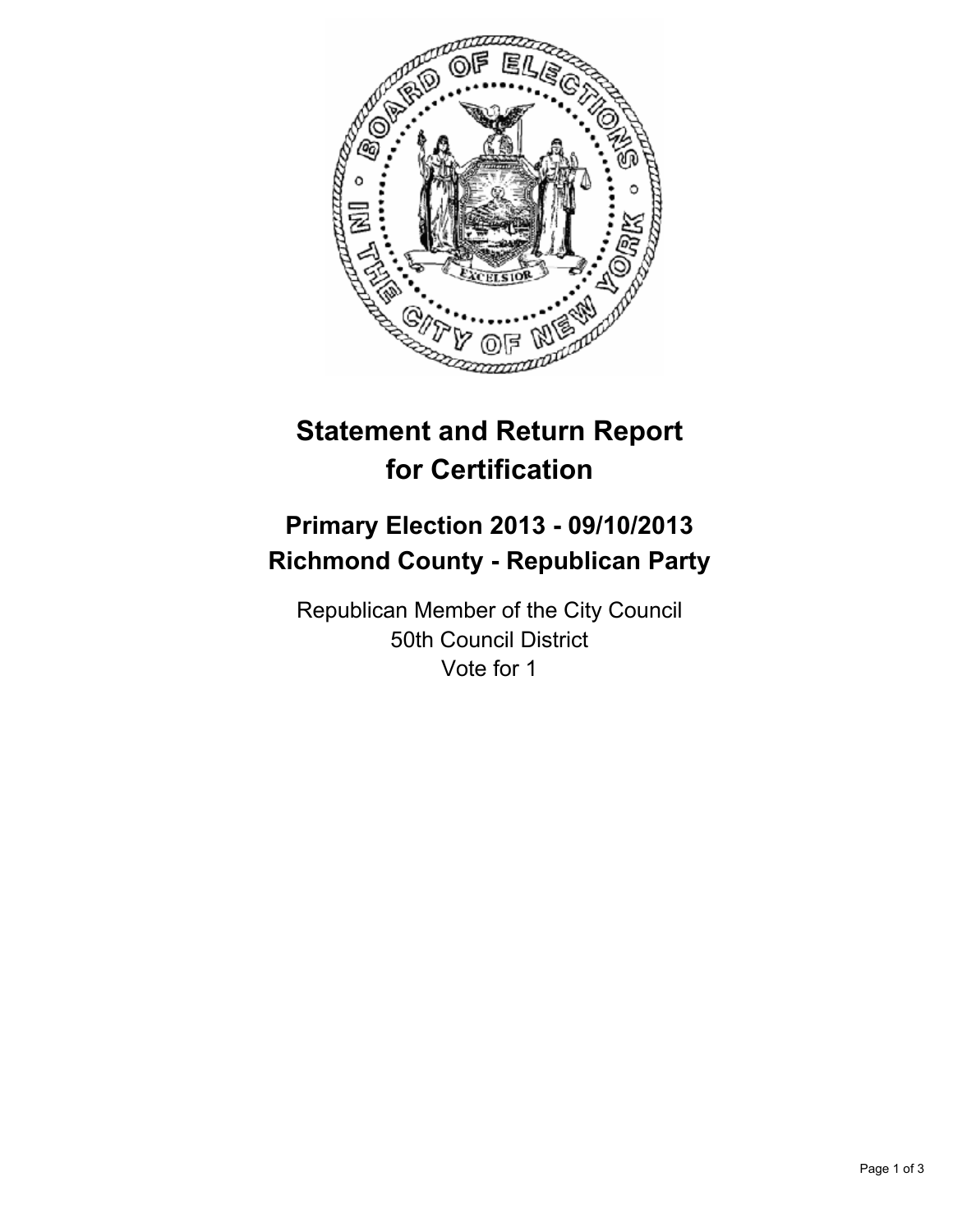

# **Statement and Return Report for Certification**

## **Primary Election 2013 - 09/10/2013 Richmond County - Republican Party**

Republican Member of the City Council 50th Council District Vote for 1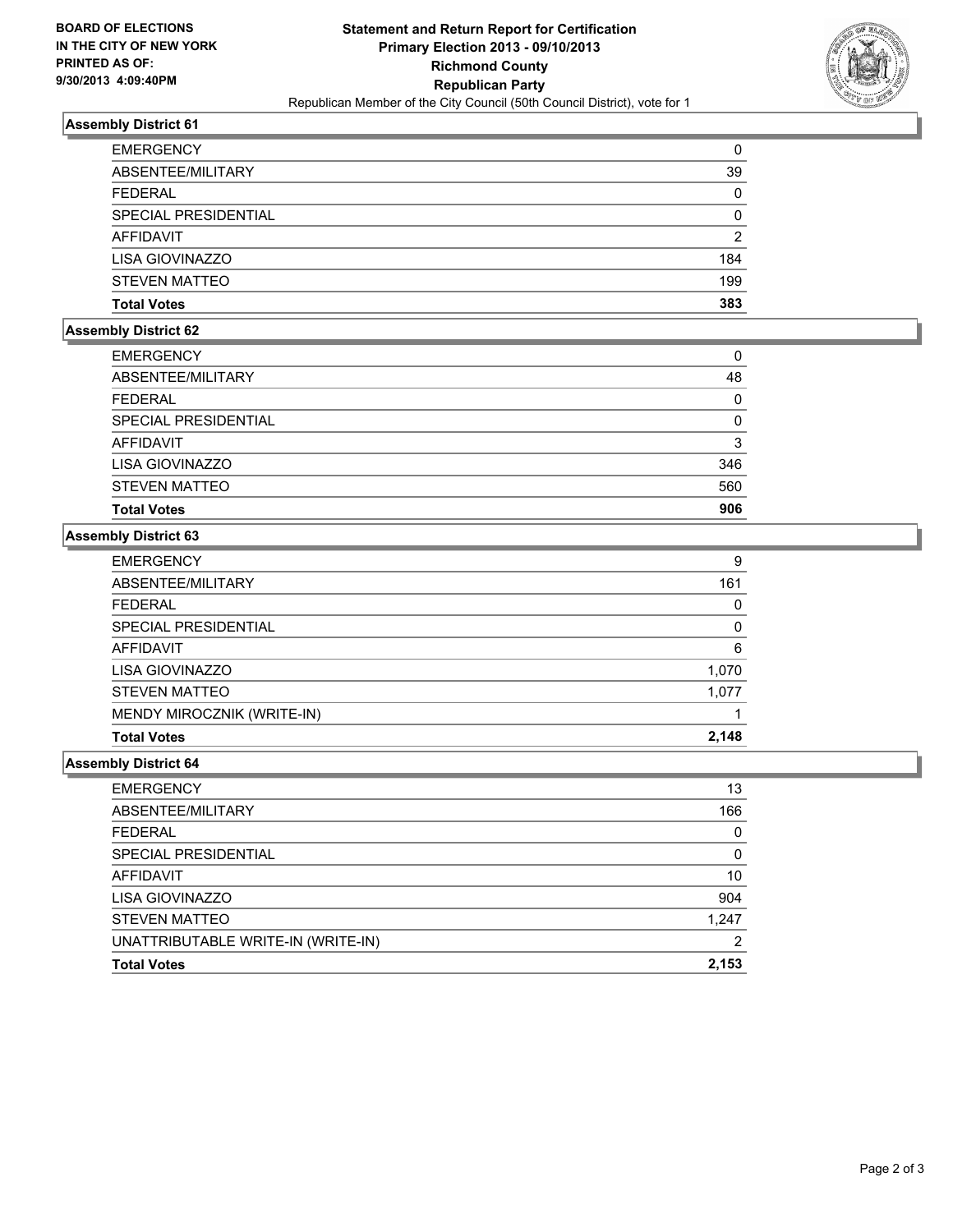

## **Assembly District 61**

| <b>EMERGENCY</b>     | 0              |
|----------------------|----------------|
| ABSENTEE/MILITARY    | 39             |
| <b>FEDERAL</b>       | 0              |
| SPECIAL PRESIDENTIAL | 0              |
| AFFIDAVIT            | $\overline{2}$ |
| LISA GIOVINAZZO      | 184            |
| <b>STEVEN MATTEO</b> | 199            |
| <b>Total Votes</b>   | 383            |

## **Assembly District 62**

| <b>EMERGENCY</b>            | 0   |
|-----------------------------|-----|
| ABSENTEE/MILITARY           | 48  |
| <b>FEDERAL</b>              | 0   |
| <b>SPECIAL PRESIDENTIAL</b> | 0   |
| AFFIDAVIT                   | 3   |
| LISA GIOVINAZZO             | 346 |
| <b>STEVEN MATTEO</b>        | 560 |
| <b>Total Votes</b>          | 906 |

#### **Assembly District 63**

| <b>EMERGENCY</b>           | 9        |
|----------------------------|----------|
| ABSENTEE/MILITARY          | 161      |
| <b>FEDERAL</b>             | 0        |
| SPECIAL PRESIDENTIAL       | $\Omega$ |
| AFFIDAVIT                  | 6        |
| LISA GIOVINAZZO            | 1,070    |
| <b>STEVEN MATTEO</b>       | 1,077    |
| MENDY MIROCZNIK (WRITE-IN) |          |
| <b>Total Votes</b>         | 2,148    |

### **Assembly District 64**

| <b>EMERGENCY</b>                   | 13    |
|------------------------------------|-------|
| ABSENTEE/MILITARY                  | 166   |
| <b>FEDERAL</b>                     | 0     |
| SPECIAL PRESIDENTIAL               | 0     |
| <b>AFFIDAVIT</b>                   | 10    |
| LISA GIOVINAZZO                    | 904   |
| <b>STEVEN MATTEO</b>               | 1,247 |
| UNATTRIBUTABLE WRITE-IN (WRITE-IN) | າ     |
| <b>Total Votes</b>                 | 2,153 |